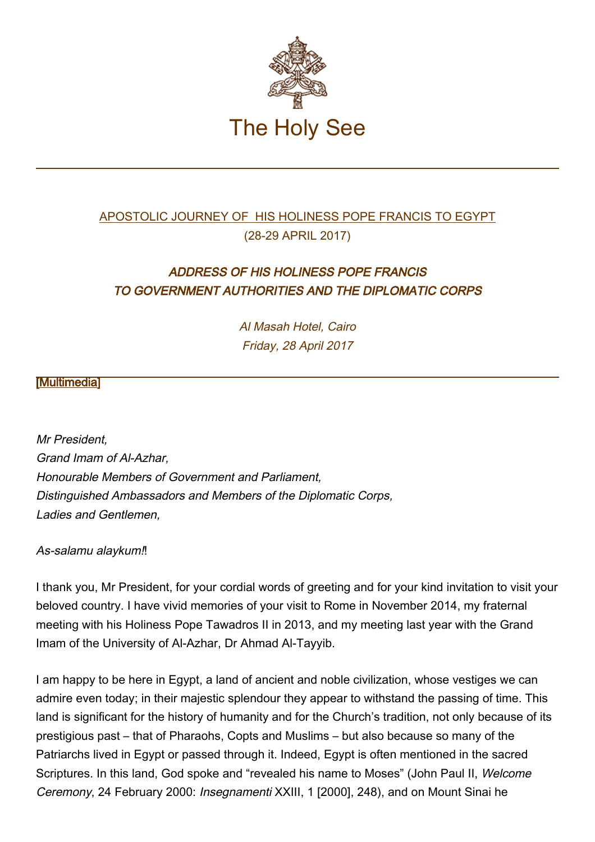

## [APOSTOLIC JOURNEY OF HIS HOLINESS POPE FRANCIS TO EGYPT](http://w2.vatican.va/content/francesco/en/travels/2017/outside/documents/papa-francesco-egitto_2017.html) (28-29 APRIL 2017)

# ADDRESS OF HIS HOLINESS POPE FRANCIS TO GOVERNMENT AUTHORITIES AND THE DIPLOMATIC CORPS

Al Masah Hotel, Cairo Friday, 28 April 2017

## [\[Multimedia](http://w2.vatican.va/content/francesco/en/events/event.dir.html/content/vaticanevents/en/2017/4/28/egitto-autorita.html)]

Mr President, Grand Imam of Al-Azhar, Honourable Members of Government and Parliament, Distinguished Ambassadors and Members of the Diplomatic Corps, Ladies and Gentlemen,

As-salamu alaykum!!

I thank you, Mr President, for your cordial words of greeting and for your kind invitation to visit your beloved country. I have vivid memories of your visit to Rome in November 2014, my fraternal meeting with his Holiness Pope Tawadros II in 2013, and my meeting last year with the Grand Imam of the University of Al-Azhar, Dr Ahmad Al-Tayyib.

I am happy to be here in Egypt, a land of ancient and noble civilization, whose vestiges we can admire even today; in their majestic splendour they appear to withstand the passing of time. This land is significant for the history of humanity and for the Church's tradition, not only because of its prestigious past – that of Pharaohs, Copts and Muslims – but also because so many of the Patriarchs lived in Egypt or passed through it. Indeed, Egypt is often mentioned in the sacred Scriptures. In this land, God spoke and "revealed his name to Moses" (John Paul II, Welcome Ceremony, 24 February 2000: Insegnamenti XXIII, 1 [2000], 248), and on Mount Sinai he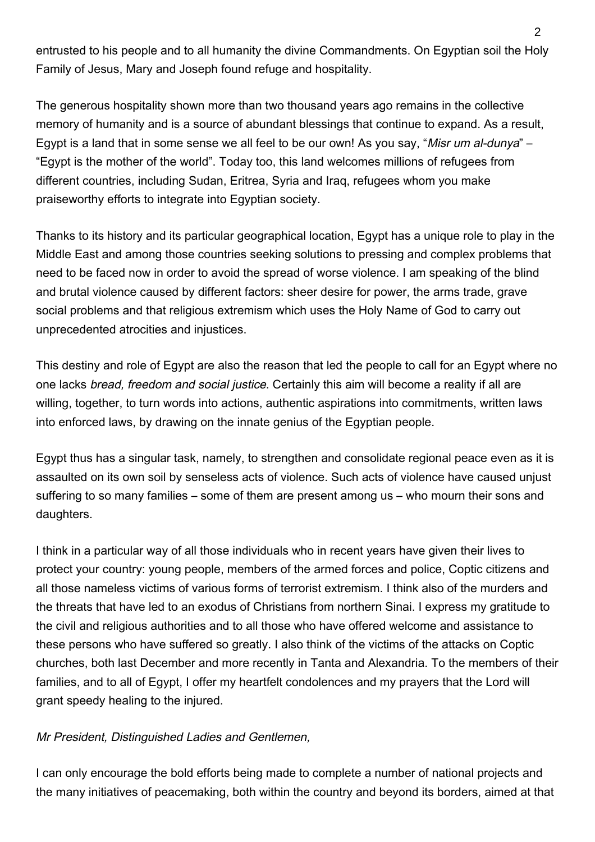entrusted to his people and to all humanity the divine Commandments. On Egyptian soil the Holy Family of Jesus, Mary and Joseph found refuge and hospitality.

The generous hospitality shown more than two thousand years ago remains in the collective memory of humanity and is a source of abundant blessings that continue to expand. As a result, Egypt is a land that in some sense we all feel to be our own! As you say, "Misr um al-dunya" – "Egypt is the mother of the world". Today too, this land welcomes millions of refugees from different countries, including Sudan, Eritrea, Syria and Iraq, refugees whom you make praiseworthy efforts to integrate into Egyptian society.

Thanks to its history and its particular geographical location, Egypt has a unique role to play in the Middle East and among those countries seeking solutions to pressing and complex problems that need to be faced now in order to avoid the spread of worse violence. I am speaking of the blind and brutal violence caused by different factors: sheer desire for power, the arms trade, grave social problems and that religious extremism which uses the Holy Name of God to carry out unprecedented atrocities and injustices.

This destiny and role of Egypt are also the reason that led the people to call for an Egypt where no one lacks bread, freedom and social justice. Certainly this aim will become a reality if all are willing, together, to turn words into actions, authentic aspirations into commitments, written laws into enforced laws, by drawing on the innate genius of the Egyptian people.

Egypt thus has a singular task, namely, to strengthen and consolidate regional peace even as it is assaulted on its own soil by senseless acts of violence. Such acts of violence have caused unjust suffering to so many families – some of them are present among us – who mourn their sons and daughters.

I think in a particular way of all those individuals who in recent years have given their lives to protect your country: young people, members of the armed forces and police, Coptic citizens and all those nameless victims of various forms of terrorist extremism. I think also of the murders and the threats that have led to an exodus of Christians from northern Sinai. I express my gratitude to the civil and religious authorities and to all those who have offered welcome and assistance to these persons who have suffered so greatly. I also think of the victims of the attacks on Coptic churches, both last December and more recently in Tanta and Alexandria. To the members of their families, and to all of Egypt, I offer my heartfelt condolences and my prayers that the Lord will grant speedy healing to the injured.

### Mr President, Distinguished Ladies and Gentlemen,

I can only encourage the bold efforts being made to complete a number of national projects and the many initiatives of peacemaking, both within the country and beyond its borders, aimed at that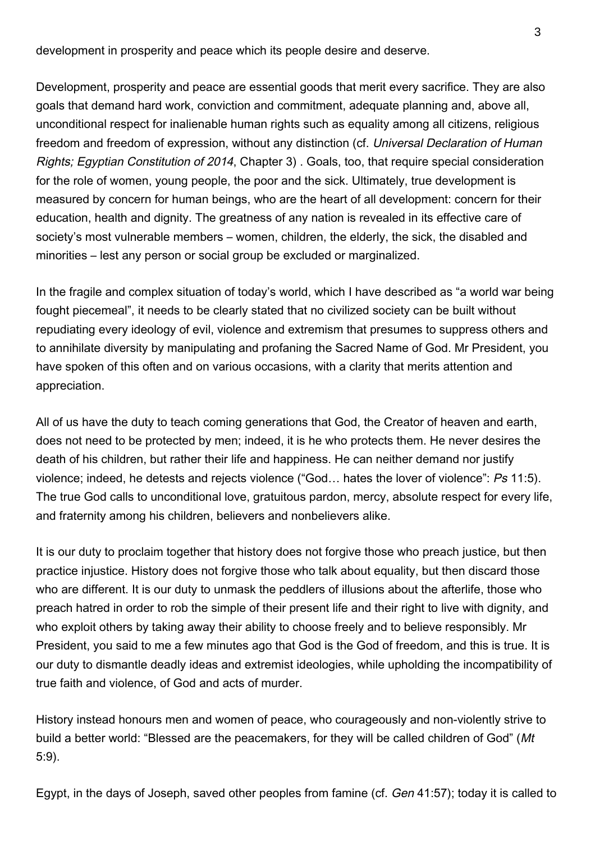development in prosperity and peace which its people desire and deserve.

Development, prosperity and peace are essential goods that merit every sacrifice. They are also goals that demand hard work, conviction and commitment, adequate planning and, above all, unconditional respect for inalienable human rights such as equality among all citizens, religious freedom and freedom of expression, without any distinction (cf. Universal Declaration of Human Rights; Egyptian Constitution of 2014, Chapter 3) . Goals, too, that require special consideration for the role of women, young people, the poor and the sick. Ultimately, true development is measured by concern for human beings, who are the heart of all development: concern for their education, health and dignity. The greatness of any nation is revealed in its effective care of society's most vulnerable members – women, children, the elderly, the sick, the disabled and minorities – lest any person or social group be excluded or marginalized.

In the fragile and complex situation of today's world, which I have described as "a world war being fought piecemeal", it needs to be clearly stated that no civilized society can be built without repudiating every ideology of evil, violence and extremism that presumes to suppress others and to annihilate diversity by manipulating and profaning the Sacred Name of God. Mr President, you have spoken of this often and on various occasions, with a clarity that merits attention and appreciation.

All of us have the duty to teach coming generations that God, the Creator of heaven and earth, does not need to be protected by men; indeed, it is he who protects them. He never desires the death of his children, but rather their life and happiness. He can neither demand nor justify violence; indeed, he detests and rejects violence ("God... hates the lover of violence"; Ps 11:5). The true God calls to unconditional love, gratuitous pardon, mercy, absolute respect for every life, and fraternity among his children, believers and nonbelievers alike.

It is our duty to proclaim together that history does not forgive those who preach justice, but then practice injustice. History does not forgive those who talk about equality, but then discard those who are different. It is our duty to unmask the peddlers of illusions about the afterlife, those who preach hatred in order to rob the simple of their present life and their right to live with dignity, and who exploit others by taking away their ability to choose freely and to believe responsibly. Mr President, you said to me a few minutes ago that God is the God of freedom, and this is true. It is our duty to dismantle deadly ideas and extremist ideologies, while upholding the incompatibility of true faith and violence, of God and acts of murder.

History instead honours men and women of peace, who courageously and non-violently strive to build a better world: "Blessed are the peacemakers, for they will be called children of God" (Mt 5:9).

Egypt, in the days of Joseph, saved other peoples from famine (cf. Gen 41:57); today it is called to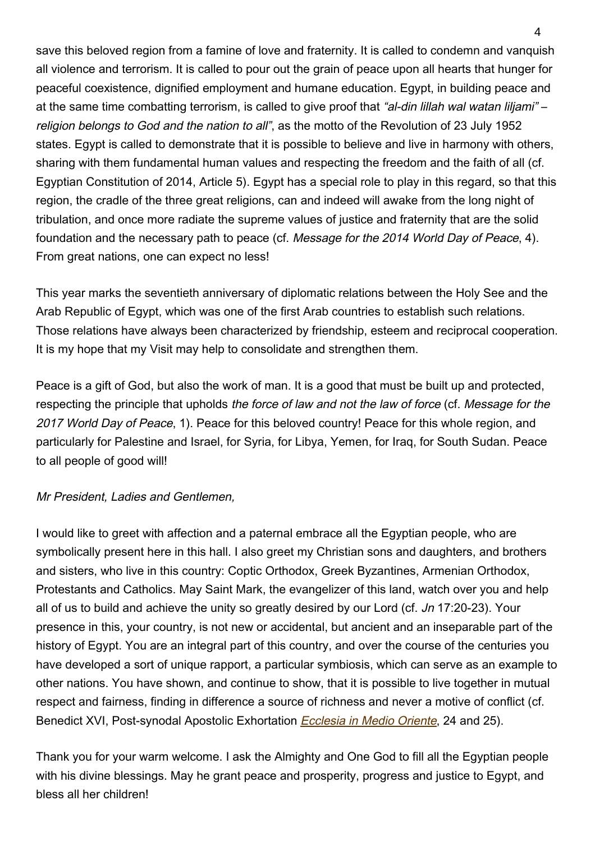save this beloved region from a famine of love and fraternity. It is called to condemn and vanquish all violence and terrorism. It is called to pour out the grain of peace upon all hearts that hunger for peaceful coexistence, dignified employment and humane education. Egypt, in building peace and at the same time combatting terrorism, is called to give proof that "al-din lillah wal watan liljami" – religion belongs to God and the nation to all", as the motto of the Revolution of 23 July 1952 states. Egypt is called to demonstrate that it is possible to believe and live in harmony with others, sharing with them fundamental human values and respecting the freedom and the faith of all (cf. Egyptian Constitution of 2014, Article 5). Egypt has a special role to play in this regard, so that this region, the cradle of the three great religions, can and indeed will awake from the long night of tribulation, and once more radiate the supreme values of justice and fraternity that are the solid foundation and the necessary path to peace (cf. Message for the 2014 World Day of Peace, 4). From great nations, one can expect no less!

This year marks the seventieth anniversary of diplomatic relations between the Holy See and the Arab Republic of Egypt, which was one of the first Arab countries to establish such relations. Those relations have always been characterized by friendship, esteem and reciprocal cooperation. It is my hope that my Visit may help to consolidate and strengthen them.

Peace is a gift of God, but also the work of man. It is a good that must be built up and protected, respecting the principle that upholds the force of law and not the law of force (cf. Message for the 2017 World Day of Peace, 1). Peace for this beloved country! Peace for this whole region, and particularly for Palestine and Israel, for Syria, for Libya, Yemen, for Iraq, for South Sudan. Peace to all people of good will!

### Mr President, Ladies and Gentlemen,

I would like to greet with affection and a paternal embrace all the Egyptian people, who are symbolically present here in this hall. I also greet my Christian sons and daughters, and brothers and sisters, who live in this country: Coptic Orthodox, Greek Byzantines, Armenian Orthodox, Protestants and Catholics. May Saint Mark, the evangelizer of this land, watch over you and help all of us to build and achieve the unity so greatly desired by our Lord (cf. Jn 17:20-23). Your presence in this, your country, is not new or accidental, but ancient and an inseparable part of the history of Egypt. You are an integral part of this country, and over the course of the centuries you have developed a sort of unique rapport, a particular symbiosis, which can serve as an example to other nations. You have shown, and continue to show, that it is possible to live together in mutual respect and fairness, finding in difference a source of richness and never a motive of conflict (cf. Benedict XVI, Post-synodal Apostolic Exhortation *[Ecclesia in Medio Oriente](http://w2.vatican.va/content/benedict-xvi/en/apost_exhortations/documents/hf_ben-xvi_exh_20120914_ecclesia-in-medio-oriente.html)*, 24 and 25).

Thank you for your warm welcome. I ask the Almighty and One God to fill all the Egyptian people with his divine blessings. May he grant peace and prosperity, progress and justice to Egypt, and bless all her children!